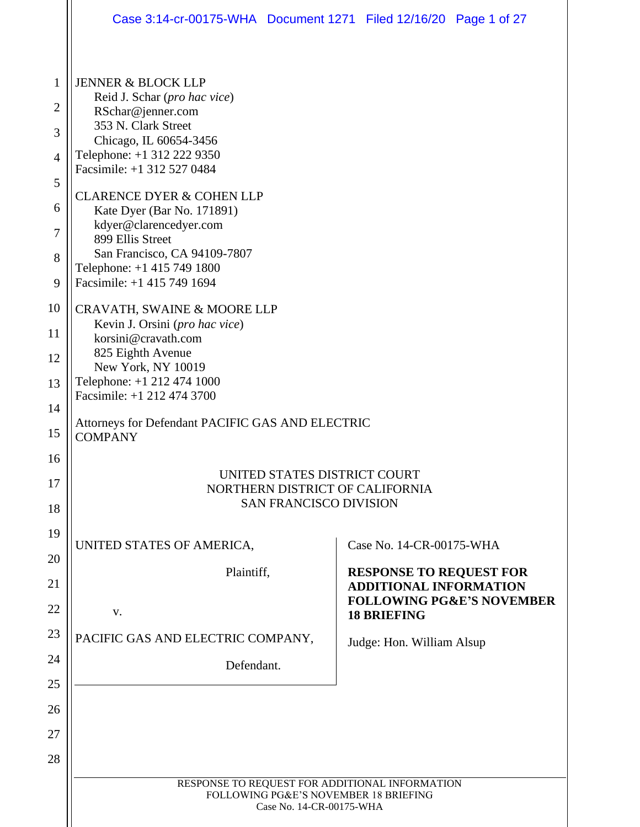|          | Case 3:14-cr-00175-WHA  Document 1271  Filed 12/16/20  Page 1 of 27                                                                                                                                                                |                                      |                                                                 |                                      |  |
|----------|------------------------------------------------------------------------------------------------------------------------------------------------------------------------------------------------------------------------------------|--------------------------------------|-----------------------------------------------------------------|--------------------------------------|--|
|          |                                                                                                                                                                                                                                    |                                      |                                                                 |                                      |  |
| 1        | <b>JENNER &amp; BLOCK LLP</b>                                                                                                                                                                                                      |                                      |                                                                 |                                      |  |
| 2        | RSchar@jenner.com                                                                                                                                                                                                                  | Reid J. Schar (pro hac vice)         |                                                                 |                                      |  |
| 3        | 353 N. Clark Street<br>Chicago, IL 60654-3456                                                                                                                                                                                      |                                      |                                                                 |                                      |  |
| 4        | Telephone: +1 312 222 9350<br>Facsimile: +1 312 527 0484                                                                                                                                                                           |                                      |                                                                 |                                      |  |
| 5        |                                                                                                                                                                                                                                    |                                      |                                                                 |                                      |  |
| 6        | Kate Dyer (Bar No. 171891)                                                                                                                                                                                                         | <b>CLARENCE DYER &amp; COHEN LLP</b> |                                                                 |                                      |  |
| 7        | kdyer@clarencedyer.com<br>899 Ellis Street                                                                                                                                                                                         |                                      |                                                                 |                                      |  |
| 8        | San Francisco, CA 94109-7807<br>Telephone: +1 415 749 1800                                                                                                                                                                         |                                      |                                                                 |                                      |  |
| 9        | Facsimile: +1 415 749 1694                                                                                                                                                                                                         |                                      |                                                                 |                                      |  |
| 10       | CRAVATH, SWAINE & MOORE LLP<br>Kevin J. Orsini (pro hac vice)                                                                                                                                                                      |                                      |                                                                 |                                      |  |
| 11       | korsini@cravath.com<br>825 Eighth Avenue<br>New York, NY 10019                                                                                                                                                                     |                                      |                                                                 |                                      |  |
| 12       |                                                                                                                                                                                                                                    |                                      |                                                                 |                                      |  |
| 13       | Telephone: +1 212 474 1000<br>Facsimile: +1 212 474 3700<br>Attorneys for Defendant PACIFIC GAS AND ELECTRIC<br><b>COMPANY</b><br>UNITED STATES DISTRICT COURT<br>NORTHERN DISTRICT OF CALIFORNIA<br><b>SAN FRANCISCO DIVISION</b> |                                      |                                                                 |                                      |  |
| 14       |                                                                                                                                                                                                                                    |                                      |                                                                 |                                      |  |
| 15<br>16 |                                                                                                                                                                                                                                    |                                      |                                                                 |                                      |  |
| 17       |                                                                                                                                                                                                                                    |                                      |                                                                 |                                      |  |
| 18       |                                                                                                                                                                                                                                    |                                      |                                                                 |                                      |  |
| 19       |                                                                                                                                                                                                                                    |                                      |                                                                 |                                      |  |
| 20       | UNITED STATES OF AMERICA,                                                                                                                                                                                                          |                                      | Case No. 14-CR-00175-WHA                                        |                                      |  |
| 21       | Plaintiff,                                                                                                                                                                                                                         |                                      | <b>RESPONSE TO REQUEST FOR</b><br><b>ADDITIONAL INFORMATION</b> |                                      |  |
| 22       | V.                                                                                                                                                                                                                                 |                                      | <b>18 BRIEFING</b>                                              | <b>FOLLOWING PG&amp;E'S NOVEMBER</b> |  |
| 23       | PACIFIC GAS AND ELECTRIC COMPANY,                                                                                                                                                                                                  |                                      | Judge: Hon. William Alsup                                       |                                      |  |
| 24       | Defendant.                                                                                                                                                                                                                         |                                      |                                                                 |                                      |  |
| 25       |                                                                                                                                                                                                                                    |                                      |                                                                 |                                      |  |
| 26       |                                                                                                                                                                                                                                    |                                      |                                                                 |                                      |  |
| 27       |                                                                                                                                                                                                                                    |                                      |                                                                 |                                      |  |
| 28       |                                                                                                                                                                                                                                    |                                      |                                                                 |                                      |  |
|          | RESPONSE TO REQUEST FOR ADDITIONAL INFORMATION<br>FOLLOWING PG&E'S NOVEMBER 18 BRIEFING                                                                                                                                            | Case No. 14-CR-00175-WHA             |                                                                 |                                      |  |
|          |                                                                                                                                                                                                                                    |                                      |                                                                 |                                      |  |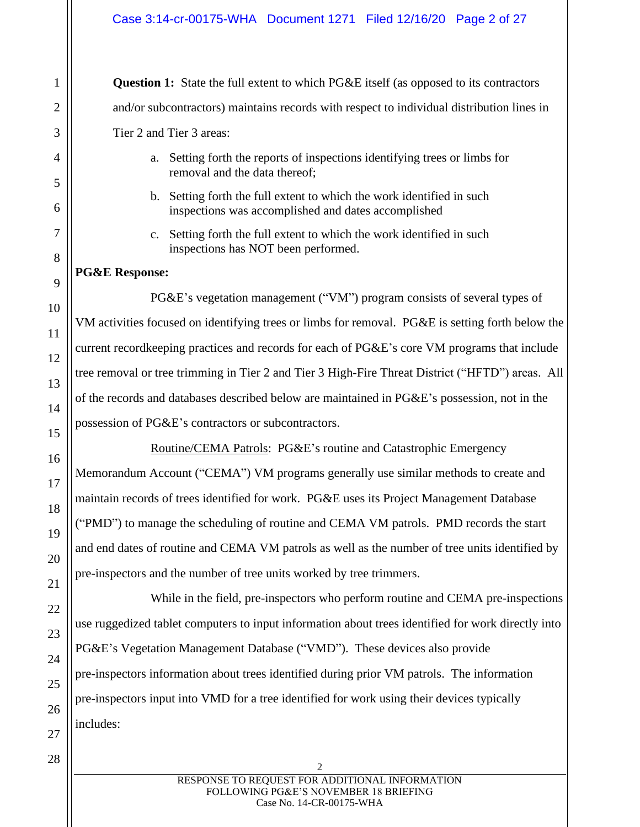**Question 1:** State the full extent to which PG&E itself (as opposed to its contractors and/or subcontractors) maintains records with respect to individual distribution lines in Tier 2 and Tier 3 areas:

- a. Setting forth the reports of inspections identifying trees or limbs for removal and the data thereof;
- b. Setting forth the full extent to which the work identified in such inspections was accomplished and dates accomplished
- c. Setting forth the full extent to which the work identified in such inspections has NOT been performed.

## **PG&E Response:**

PG&E's vegetation management ("VM") program consists of several types of VM activities focused on identifying trees or limbs for removal. PG&E is setting forth below the current recordkeeping practices and records for each of PG&E's core VM programs that include tree removal or tree trimming in Tier 2 and Tier 3 High-Fire Threat District ("HFTD") areas. All of the records and databases described below are maintained in PG&E's possession, not in the possession of PG&E's contractors or subcontractors.

Routine/CEMA Patrols: PG&E's routine and Catastrophic Emergency Memorandum Account ("CEMA") VM programs generally use similar methods to create and maintain records of trees identified for work. PG&E uses its Project Management Database ("PMD") to manage the scheduling of routine and CEMA VM patrols. PMD records the start and end dates of routine and CEMA VM patrols as well as the number of tree units identified by pre-inspectors and the number of tree units worked by tree trimmers.

While in the field, pre-inspectors who perform routine and CEMA pre-inspections use ruggedized tablet computers to input information about trees identified for work directly into PG&E's Vegetation Management Database ("VMD"). These devices also provide pre-inspectors information about trees identified during prior VM patrols. The information pre-inspectors input into VMD for a tree identified for work using their devices typically includes: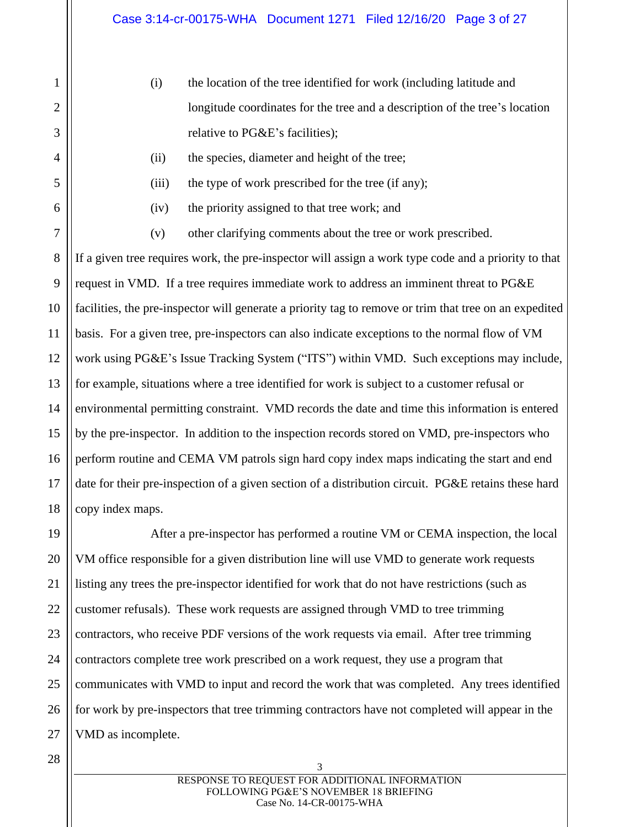- (i) the location of the tree identified for work (including latitude and longitude coordinates for the tree and a description of the tree's location relative to PG&E's facilities);
- (ii) the species, diameter and height of the tree;
- (iii) the type of work prescribed for the tree (if any);
- 
- (iv) the priority assigned to that tree work; and
- (v) other clarifying comments about the tree or work prescribed.

If a given tree requires work, the pre-inspector will assign a work type code and a priority to that request in VMD. If a tree requires immediate work to address an imminent threat to PG&E facilities, the pre-inspector will generate a priority tag to remove or trim that tree on an expedited basis. For a given tree, pre-inspectors can also indicate exceptions to the normal flow of VM work using PG&E's Issue Tracking System ("ITS") within VMD. Such exceptions may include, for example, situations where a tree identified for work is subject to a customer refusal or environmental permitting constraint. VMD records the date and time this information is entered by the pre-inspector. In addition to the inspection records stored on VMD, pre-inspectors who perform routine and CEMA VM patrols sign hard copy index maps indicating the start and end date for their pre-inspection of a given section of a distribution circuit. PG&E retains these hard copy index maps.

After a pre-inspector has performed a routine VM or CEMA inspection, the local VM office responsible for a given distribution line will use VMD to generate work requests listing any trees the pre-inspector identified for work that do not have restrictions (such as customer refusals). These work requests are assigned through VMD to tree trimming contractors, who receive PDF versions of the work requests via email. After tree trimming contractors complete tree work prescribed on a work request, they use a program that communicates with VMD to input and record the work that was completed. Any trees identified for work by pre-inspectors that tree trimming contractors have not completed will appear in the VMD as incomplete.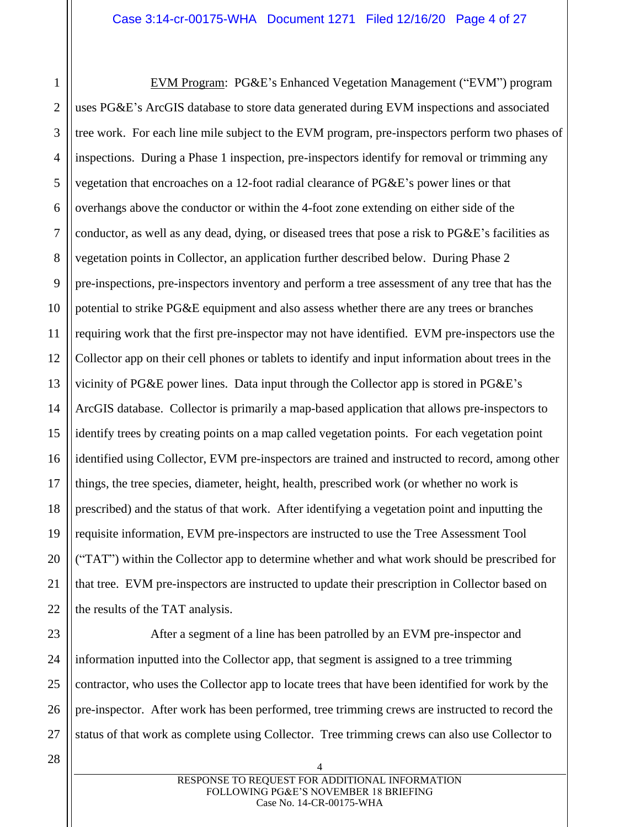1 2 3 4 5 6 7 8 9 10 11 12 13 14 15 16 17 18 19 20 21 22 EVM Program: PG&E's Enhanced Vegetation Management ("EVM") program uses PG&E's ArcGIS database to store data generated during EVM inspections and associated tree work. For each line mile subject to the EVM program, pre-inspectors perform two phases of inspections. During a Phase 1 inspection, pre-inspectors identify for removal or trimming any vegetation that encroaches on a 12-foot radial clearance of PG&E's power lines or that overhangs above the conductor or within the 4-foot zone extending on either side of the conductor, as well as any dead, dying, or diseased trees that pose a risk to PG&E's facilities as vegetation points in Collector, an application further described below. During Phase 2 pre-inspections, pre-inspectors inventory and perform a tree assessment of any tree that has the potential to strike PG&E equipment and also assess whether there are any trees or branches requiring work that the first pre-inspector may not have identified. EVM pre-inspectors use the Collector app on their cell phones or tablets to identify and input information about trees in the vicinity of PG&E power lines. Data input through the Collector app is stored in PG&E's ArcGIS database. Collector is primarily a map-based application that allows pre-inspectors to identify trees by creating points on a map called vegetation points. For each vegetation point identified using Collector, EVM pre-inspectors are trained and instructed to record, among other things, the tree species, diameter, height, health, prescribed work (or whether no work is prescribed) and the status of that work. After identifying a vegetation point and inputting the requisite information, EVM pre-inspectors are instructed to use the Tree Assessment Tool ("TAT") within the Collector app to determine whether and what work should be prescribed for that tree. EVM pre-inspectors are instructed to update their prescription in Collector based on the results of the TAT analysis.

After a segment of a line has been patrolled by an EVM pre-inspector and information inputted into the Collector app, that segment is assigned to a tree trimming contractor, who uses the Collector app to locate trees that have been identified for work by the pre-inspector. After work has been performed, tree trimming crews are instructed to record the status of that work as complete using Collector. Tree trimming crews can also use Collector to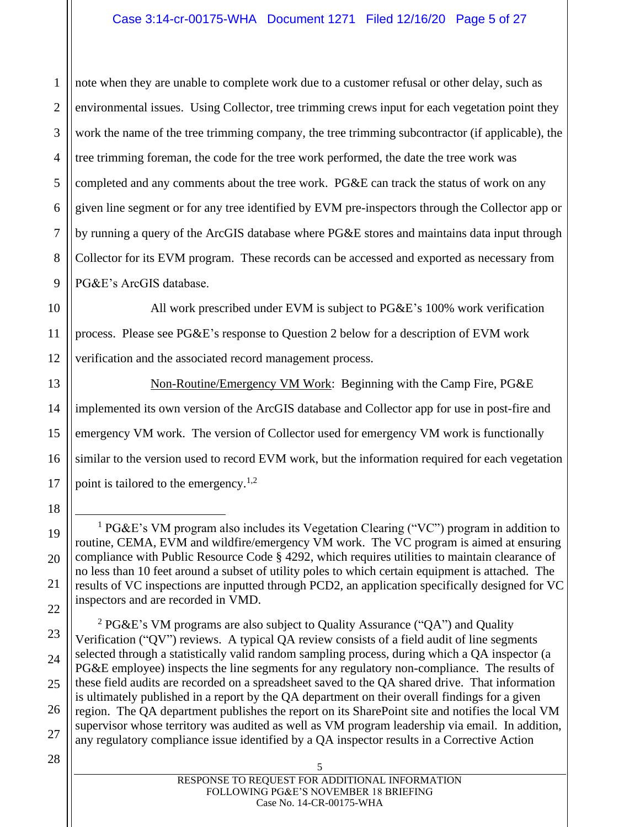1 2 3 4 5 note when they are unable to complete work due to a customer refusal or other delay, such as environmental issues. Using Collector, tree trimming crews input for each vegetation point they work the name of the tree trimming company, the tree trimming subcontractor (if applicable), the tree trimming foreman, the code for the tree work performed, the date the tree work was completed and any comments about the tree work. PG&E can track the status of work on any given line segment or for any tree identified by EVM pre-inspectors through the Collector app or by running a query of the ArcGIS database where PG&E stores and maintains data input through Collector for its EVM program. These records can be accessed and exported as necessary from PG&E's ArcGIS database.

All work prescribed under EVM is subject to PG&E's 100% work verification process. Please see PG&E's response to Question 2 below for a description of EVM work verification and the associated record management process.

Non-Routine/Emergency VM Work: Beginning with the Camp Fire, PG&E implemented its own version of the ArcGIS database and Collector app for use in post-fire and emergency VM work. The version of Collector used for emergency VM work is functionally similar to the version used to record EVM work, but the information required for each vegetation point is tailored to the emergency.<sup>1,2</sup>

<sup>1</sup> PG&E's VM program also includes its Vegetation Clearing ("VC") program in addition to routine, CEMA, EVM and wildfire/emergency VM work. The VC program is aimed at ensuring compliance with Public Resource Code § 4292, which requires utilities to maintain clearance of no less than 10 feet around a subset of utility poles to which certain equipment is attached. The results of VC inspections are inputted through PCD2, an application specifically designed for VC inspectors and are recorded in VMD.

<sup>2</sup> PG&E's VM programs are also subject to Quality Assurance ("QA") and Quality Verification ("QV") reviews. A typical QA review consists of a field audit of line segments selected through a statistically valid random sampling process, during which a QA inspector (a PG&E employee) inspects the line segments for any regulatory non-compliance. The results of these field audits are recorded on a spreadsheet saved to the QA shared drive. That information is ultimately published in a report by the QA department on their overall findings for a given region. The QA department publishes the report on its SharePoint site and notifies the local VM supervisor whose territory was audited as well as VM program leadership via email. In addition, any regulatory compliance issue identified by a QA inspector results in a Corrective Action

28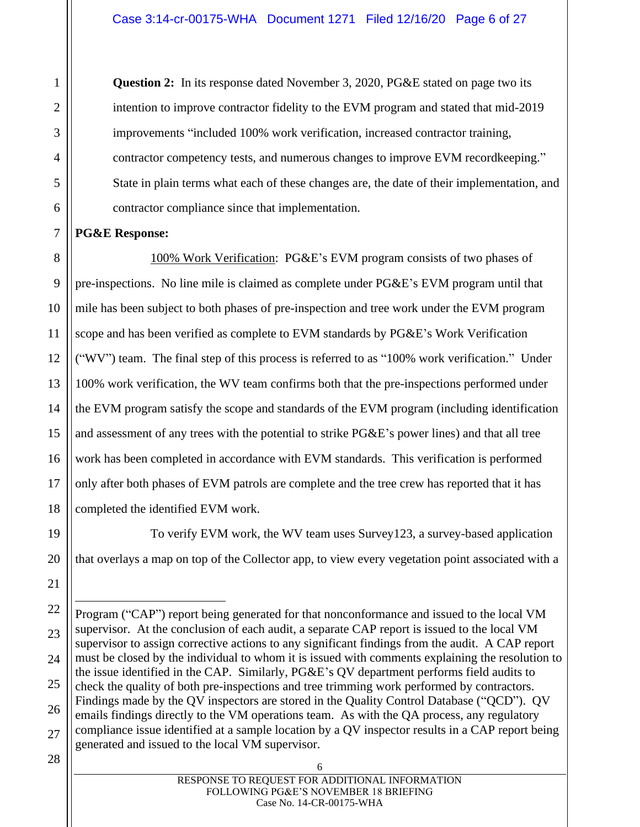**Question 2:** In its response dated November 3, 2020, PG&E stated on page two its intention to improve contractor fidelity to the EVM program and stated that mid-2019 improvements "included 100% work verification, increased contractor training, contractor competency tests, and numerous changes to improve EVM recordkeeping." State in plain terms what each of these changes are, the date of their implementation, and contractor compliance since that implementation.

## **PG&E Response:**

100% Work Verification: PG&E's EVM program consists of two phases of pre-inspections. No line mile is claimed as complete under PG&E's EVM program until that mile has been subject to both phases of pre-inspection and tree work under the EVM program scope and has been verified as complete to EVM standards by PG&E's Work Verification ("WV") team. The final step of this process is referred to as "100% work verification." Under 100% work verification, the WV team confirms both that the pre-inspections performed under the EVM program satisfy the scope and standards of the EVM program (including identification and assessment of any trees with the potential to strike PG&E's power lines) and that all tree work has been completed in accordance with EVM standards. This verification is performed only after both phases of EVM patrols are complete and the tree crew has reported that it has completed the identified EVM work.

To verify EVM work, the WV team uses Survey123, a survey-based application that overlays a map on top of the Collector app, to view every vegetation point associated with a

Program ("CAP") report being generated for that nonconformance and issued to the local VM supervisor. At the conclusion of each audit, a separate CAP report is issued to the local VM supervisor to assign corrective actions to any significant findings from the audit. A CAP report must be closed by the individual to whom it is issued with comments explaining the resolution to the issue identified in the CAP. Similarly, PG&E's QV department performs field audits to check the quality of both pre-inspections and tree trimming work performed by contractors. Findings made by the QV inspectors are stored in the Quality Control Database ("QCD"). QV emails findings directly to the VM operations team. As with the QA process, any regulatory compliance issue identified at a sample location by a QV inspector results in a CAP report being generated and issued to the local VM supervisor.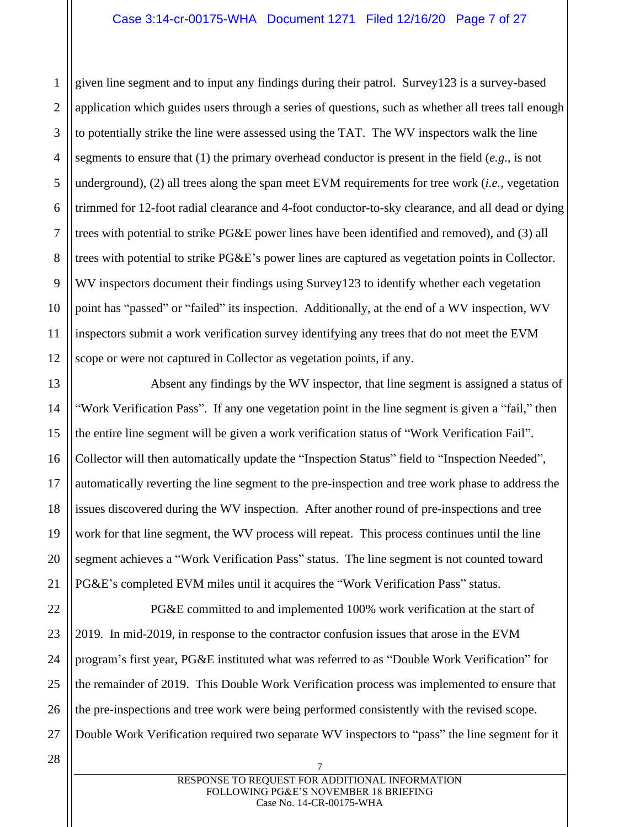2 3 4 5 6 7 8 9 10 11 12 given line segment and to input any findings during their patrol. Survey123 is a survey-based application which guides users through a series of questions, such as whether all trees tall enough to potentially strike the line were assessed using the TAT. The WV inspectors walk the line segments to ensure that (1) the primary overhead conductor is present in the field (*e.g.*, is not underground), (2) all trees along the span meet EVM requirements for tree work (*i.e.*, vegetation trimmed for 12-foot radial clearance and 4-foot conductor-to-sky clearance, and all dead or dying trees with potential to strike PG&E power lines have been identified and removed), and (3) all trees with potential to strike PG&E's power lines are captured as vegetation points in Collector. WV inspectors document their findings using Survey123 to identify whether each vegetation point has "passed" or "failed" its inspection. Additionally, at the end of a WV inspection, WV inspectors submit a work verification survey identifying any trees that do not meet the EVM scope or were not captured in Collector as vegetation points, if any.

Absent any findings by the WV inspector, that line segment is assigned a status of "Work Verification Pass". If any one vegetation point in the line segment is given a "fail," then the entire line segment will be given a work verification status of "Work Verification Fail". Collector will then automatically update the "Inspection Status" field to "Inspection Needed", automatically reverting the line segment to the pre-inspection and tree work phase to address the issues discovered during the WV inspection. After another round of pre-inspections and tree work for that line segment, the WV process will repeat. This process continues until the line segment achieves a "Work Verification Pass" status. The line segment is not counted toward PG&E's completed EVM miles until it acquires the "Work Verification Pass" status.

PG&E committed to and implemented 100% work verification at the start of 2019. In mid-2019, in response to the contractor confusion issues that arose in the EVM program's first year, PG&E instituted what was referred to as "Double Work Verification" for the remainder of 2019. This Double Work Verification process was implemented to ensure that the pre-inspections and tree work were being performed consistently with the revised scope. Double Work Verification required two separate WV inspectors to "pass" the line segment for it

1

13

14

15

16

17

18

19

20

21

22

23

24

25

26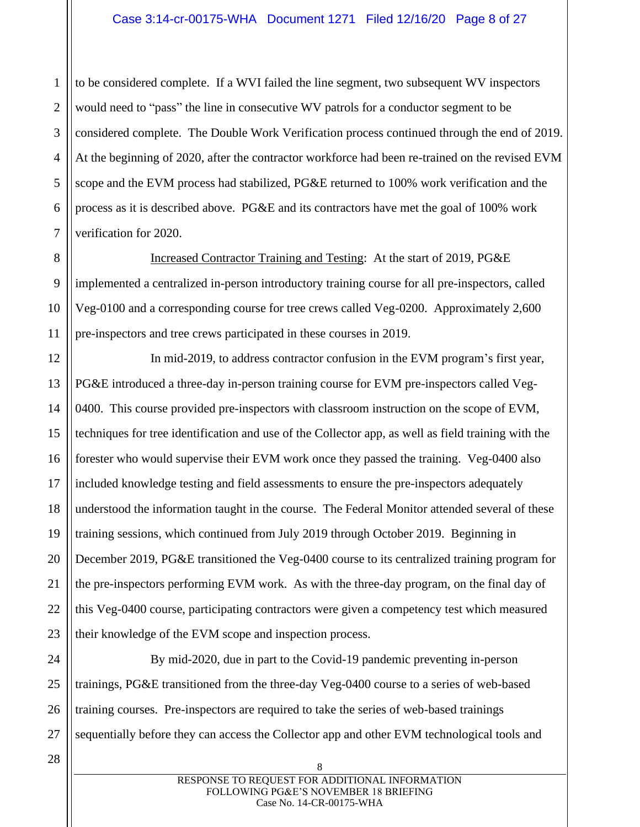1 2 to be considered complete. If a WVI failed the line segment, two subsequent WV inspectors would need to "pass" the line in consecutive WV patrols for a conductor segment to be considered complete. The Double Work Verification process continued through the end of 2019. At the beginning of 2020, after the contractor workforce had been re-trained on the revised EVM scope and the EVM process had stabilized, PG&E returned to 100% work verification and the process as it is described above. PG&E and its contractors have met the goal of 100% work verification for 2020.

Increased Contractor Training and Testing: At the start of 2019, PG&E implemented a centralized in-person introductory training course for all pre-inspectors, called Veg-0100 and a corresponding course for tree crews called Veg-0200. Approximately 2,600 pre-inspectors and tree crews participated in these courses in 2019.

In mid-2019, to address contractor confusion in the EVM program's first year, PG&E introduced a three-day in-person training course for EVM pre-inspectors called Veg-0400. This course provided pre-inspectors with classroom instruction on the scope of EVM, techniques for tree identification and use of the Collector app, as well as field training with the forester who would supervise their EVM work once they passed the training. Veg-0400 also included knowledge testing and field assessments to ensure the pre-inspectors adequately understood the information taught in the course. The Federal Monitor attended several of these training sessions, which continued from July 2019 through October 2019. Beginning in December 2019, PG&E transitioned the Veg-0400 course to its centralized training program for the pre-inspectors performing EVM work. As with the three-day program, on the final day of this Veg-0400 course, participating contractors were given a competency test which measured their knowledge of the EVM scope and inspection process.

By mid-2020, due in part to the Covid-19 pandemic preventing in-person trainings, PG&E transitioned from the three-day Veg-0400 course to a series of web-based training courses. Pre-inspectors are required to take the series of web-based trainings sequentially before they can access the Collector app and other EVM technological tools and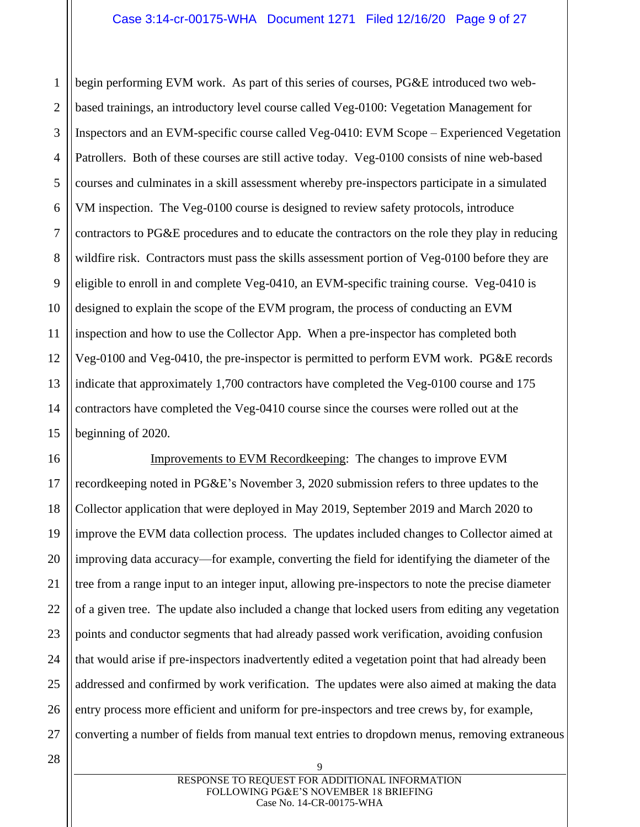1 2 3 4 5 6 7 8 9 10 11 12 13 begin performing EVM work. As part of this series of courses, PG&E introduced two webbased trainings, an introductory level course called Veg-0100: Vegetation Management for Inspectors and an EVM-specific course called Veg-0410: EVM Scope – Experienced Vegetation Patrollers. Both of these courses are still active today. Veg-0100 consists of nine web-based courses and culminates in a skill assessment whereby pre-inspectors participate in a simulated VM inspection. The Veg-0100 course is designed to review safety protocols, introduce contractors to PG&E procedures and to educate the contractors on the role they play in reducing wildfire risk. Contractors must pass the skills assessment portion of Veg-0100 before they are eligible to enroll in and complete Veg-0410, an EVM-specific training course. Veg-0410 is designed to explain the scope of the EVM program, the process of conducting an EVM inspection and how to use the Collector App. When a pre-inspector has completed both Veg-0100 and Veg-0410, the pre-inspector is permitted to perform EVM work. PG&E records indicate that approximately 1,700 contractors have completed the Veg-0100 course and 175 contractors have completed the Veg-0410 course since the courses were rolled out at the beginning of 2020.

Improvements to EVM Recordkeeping: The changes to improve EVM recordkeeping noted in PG&E's November 3, 2020 submission refers to three updates to the Collector application that were deployed in May 2019, September 2019 and March 2020 to improve the EVM data collection process. The updates included changes to Collector aimed at improving data accuracy—for example, converting the field for identifying the diameter of the tree from a range input to an integer input, allowing pre-inspectors to note the precise diameter of a given tree. The update also included a change that locked users from editing any vegetation points and conductor segments that had already passed work verification, avoiding confusion that would arise if pre-inspectors inadvertently edited a vegetation point that had already been addressed and confirmed by work verification. The updates were also aimed at making the data entry process more efficient and uniform for pre-inspectors and tree crews by, for example, converting a number of fields from manual text entries to dropdown menus, removing extraneous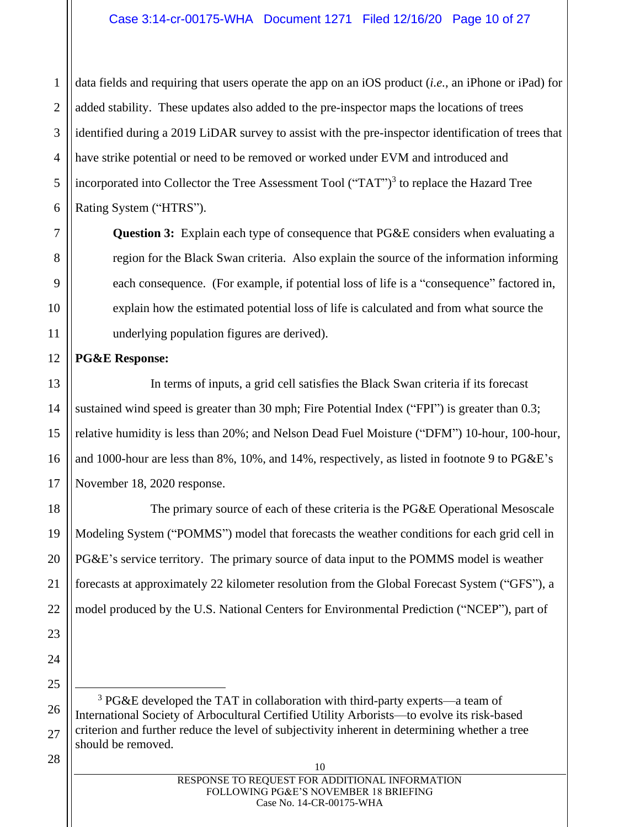## Case 3:14-cr-00175-WHA Document 1271 Filed 12/16/20 Page 10 of 27

1 data fields and requiring that users operate the app on an iOS product (*i.e.*, an iPhone or iPad) for added stability. These updates also added to the pre-inspector maps the locations of trees identified during a 2019 LiDAR survey to assist with the pre-inspector identification of trees that have strike potential or need to be removed or worked under EVM and introduced and incorporated into Collector the Tree Assessment Tool ("TAT")<sup>3</sup> to replace the Hazard Tree Rating System ("HTRS").

**Question 3:** Explain each type of consequence that PG&E considers when evaluating a region for the Black Swan criteria. Also explain the source of the information informing each consequence. (For example, if potential loss of life is a "consequence" factored in, explain how the estimated potential loss of life is calculated and from what source the underlying population figures are derived).

## **PG&E Response:**

In terms of inputs, a grid cell satisfies the Black Swan criteria if its forecast sustained wind speed is greater than 30 mph; Fire Potential Index ("FPI") is greater than 0.3; relative humidity is less than 20%; and Nelson Dead Fuel Moisture ("DFM") 10-hour, 100-hour, and 1000-hour are less than 8%, 10%, and 14%, respectively, as listed in footnote 9 to PG&E's November 18, 2020 response.

The primary source of each of these criteria is the PG&E Operational Mesoscale Modeling System ("POMMS") model that forecasts the weather conditions for each grid cell in PG&E's service territory. The primary source of data input to the POMMS model is weather forecasts at approximately 22 kilometer resolution from the Global Forecast System ("GFS"), a model produced by the U.S. National Centers for Environmental Prediction ("NCEP"), part of

<sup>3</sup> PG&E developed the TAT in collaboration with third-party experts—a team of International Society of Arbocultural Certified Utility Arborists—to evolve its risk-based criterion and further reduce the level of subjectivity inherent in determining whether a tree should be removed.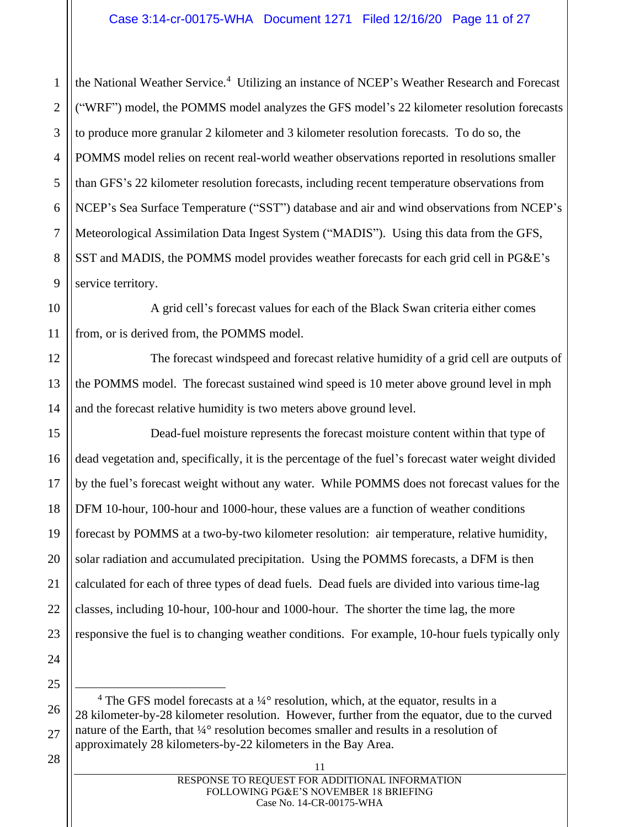the National Weather Service.<sup>4</sup> Utilizing an instance of NCEP's Weather Research and Forecast ("WRF") model, the POMMS model analyzes the GFS model's 22 kilometer resolution forecasts to produce more granular 2 kilometer and 3 kilometer resolution forecasts. To do so, the POMMS model relies on recent real-world weather observations reported in resolutions smaller than GFS's 22 kilometer resolution forecasts, including recent temperature observations from NCEP's Sea Surface Temperature ("SST") database and air and wind observations from NCEP's Meteorological Assimilation Data Ingest System ("MADIS"). Using this data from the GFS, SST and MADIS, the POMMS model provides weather forecasts for each grid cell in PG&E's service territory.

A grid cell's forecast values for each of the Black Swan criteria either comes from, or is derived from, the POMMS model.

The forecast windspeed and forecast relative humidity of a grid cell are outputs of the POMMS model. The forecast sustained wind speed is 10 meter above ground level in mph and the forecast relative humidity is two meters above ground level.

Dead-fuel moisture represents the forecast moisture content within that type of dead vegetation and, specifically, it is the percentage of the fuel's forecast water weight divided by the fuel's forecast weight without any water. While POMMS does not forecast values for the DFM 10-hour, 100-hour and 1000-hour, these values are a function of weather conditions forecast by POMMS at a two-by-two kilometer resolution: air temperature, relative humidity, solar radiation and accumulated precipitation. Using the POMMS forecasts, a DFM is then calculated for each of three types of dead fuels. Dead fuels are divided into various time-lag classes, including 10-hour, 100-hour and 1000-hour. The shorter the time lag, the more responsive the fuel is to changing weather conditions. For example, 10-hour fuels typically only

- <sup>4</sup> The GFS model forecasts at a  $\frac{1}{4}$ ° resolution, which, at the equator, results in a 28 kilometer-by-28 kilometer resolution. However, further from the equator, due to the curved nature of the Earth, that ¼° resolution becomes smaller and results in a resolution of approximately 28 kilometers-by-22 kilometers in the Bay Area.
	- 11 RESPONSE TO REQUEST FOR ADDITIONAL INFORMATION FOLLOWING PG&E'S NOVEMBER 18 BRIEFING Case No. 14-CR-00175-WHA

1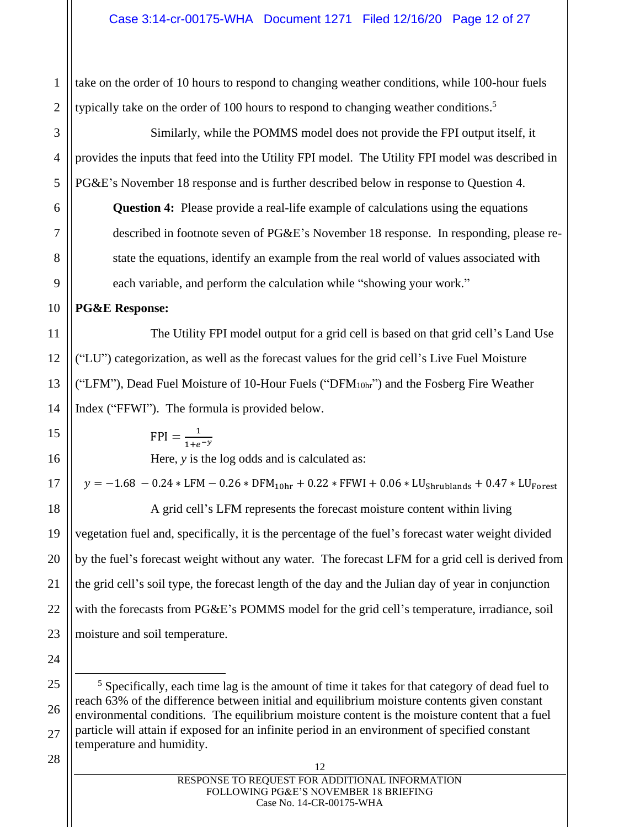2 take on the order of 10 hours to respond to changing weather conditions, while 100-hour fuels typically take on the order of 100 hours to respond to changing weather conditions.<sup>5</sup>

Similarly, while the POMMS model does not provide the FPI output itself, it provides the inputs that feed into the Utility FPI model. The Utility FPI model was described in PG&E's November 18 response and is further described below in response to Question 4. **Question 4:** Please provide a real-life example of calculations using the equations described in footnote seven of PG&E's November 18 response. In responding, please restate the equations, identify an example from the real world of values associated with each variable, and perform the calculation while "showing your work."

## **PG&E Response:**

1

3

4

5

6

7

8

9

10

11

12

13

14

15

16

17

18

19

20

21

22

23

24

The Utility FPI model output for a grid cell is based on that grid cell's Land Use ("LU") categorization, as well as the forecast values for the grid cell's Live Fuel Moisture ("LFM"), Dead Fuel Moisture of 10-Hour Fuels ("DFM $_{10hr}$ ") and the Fosberg Fire Weather Index ("FFWI"). The formula is provided below.

> $FPI = \frac{1}{111}$  $1+e^{-y}$

Here, *y* is the log odds and is calculated as:

 $y = -1.68 - 0.24 * LFM - 0.26 * DFM<sub>10hr</sub> + 0.22 * FFWI + 0.06 * LU<sub>Shrublands</sub> + 0.47 * LU<sub>Forest</sub>$ 

A grid cell's LFM represents the forecast moisture content within living vegetation fuel and, specifically, it is the percentage of the fuel's forecast water weight divided by the fuel's forecast weight without any water. The forecast LFM for a grid cell is derived from the grid cell's soil type, the forecast length of the day and the Julian day of year in conjunction with the forecasts from PG&E's POMMS model for the grid cell's temperature, irradiance, soil moisture and soil temperature.

25 26 27  $<sup>5</sup>$  Specifically, each time lag is the amount of time it takes for that category of dead fuel to</sup> reach 63% of the difference between initial and equilibrium moisture contents given constant environmental conditions. The equilibrium moisture content is the moisture content that a fuel particle will attain if exposed for an infinite period in an environment of specified constant temperature and humidity.

| 12                                             |
|------------------------------------------------|
| RESPONSE TO REQUEST FOR ADDITIONAL INFORMATION |
| FOLLOWING PG&E'S NOVEMBER 18 BRIEFING          |
| Case No. 14-CR-00175-WHA                       |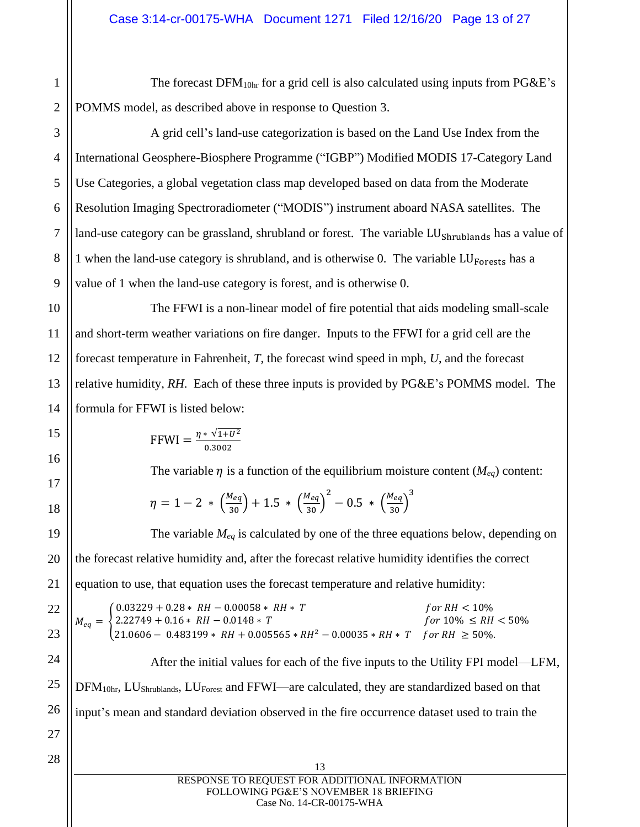The forecast DFM10hr for a grid cell is also calculated using inputs from PG&E's POMMS model, as described above in response to Question 3.

A grid cell's land-use categorization is based on the Land Use Index from the International Geosphere-Biosphere Programme ("IGBP") Modified MODIS 17-Category Land Use Categories, a global vegetation class map developed based on data from the Moderate Resolution Imaging Spectroradiometer ("MODIS") instrument aboard NASA satellites. The land-use category can be grassland, shrubland or forest. The variable LU<sub>Shrublands</sub> has a value of 1 when the land-use category is shrubland, and is otherwise 0. The variable  $LU_{Forests}$  has a value of 1 when the land-use category is forest, and is otherwise 0.

The FFWI is a non-linear model of fire potential that aids modeling small-scale and short-term weather variations on fire danger. Inputs to the FFWI for a grid cell are the forecast temperature in Fahrenheit, *T*, the forecast wind speed in mph, *U*, and the forecast relative humidity, *RH*. Each of these three inputs is provided by PG&E's POMMS model. The formula for FFWI is listed below:

FFWI = 
$$
\frac{\eta * \sqrt{1 + U^2}}{0.3002}
$$

The variable  $\eta$  is a function of the equilibrium moisture content ( $M_{eq}$ ) content:

$$
\eta = 1 - 2 * \left(\frac{M_{eq}}{30}\right) + 1.5 * \left(\frac{M_{eq}}{30}\right)^2 - 0.5 * \left(\frac{M_{eq}}{30}\right)^3
$$

The variable *Meq* is calculated by one of the three equations below, depending on the forecast relative humidity and, after the forecast relative humidity identifies the correct equation to use, that equation uses the forecast temperature and relative humidity:

$$
M_{eq} = \begin{cases} 0.03229 + 0.28 * RH - 0.00058 * RH * T & \text{for RH} < 10\%\\ 2.22749 + 0.16 * RH - 0.0148 * T & \text{for } 10\% \le RH < 50\%\\ 21.0606 - 0.483199 * RH + 0.005565 * RH^2 - 0.00035 * RH * T & \text{for RH} \ge 50\% \end{cases}
$$

After the initial values for each of the five inputs to the Utility FPI model—LFM, DFM<sub>10hr</sub>, LU<sub>Shrublands</sub>, LU<sub>Forest</sub> and FFWI—are calculated, they are standardized based on that input's mean and standard deviation observed in the fire occurrence dataset used to train the

28

1

2

3

4

5

6

7

8

9

10

11

12

13

14

15

16

17

18

19

20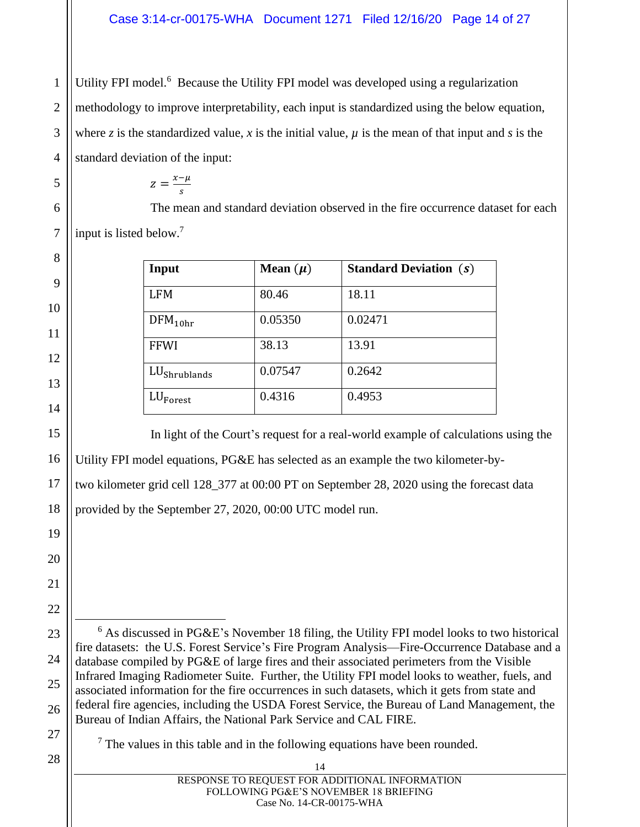Utility FPI model.<sup>6</sup> Because the Utility FPI model was developed using a regularization methodology to improve interpretability, each input is standardized using the below equation, where *z* is the standardized value, *x* is the initial value,  $\mu$  is the mean of that input and *s* is the standard deviation of the input:

$$
z=\frac{x-\mu}{s}
$$

The mean and standard deviation observed in the fire occurrence dataset for each input is listed below.<sup>7</sup>

| Input                    | Mean $(\mu)$ | <b>Standard Deviation (s)</b> |
|--------------------------|--------------|-------------------------------|
| <b>LFM</b>               | 80.46        | 18.11                         |
| $DFM_{10hr}$             | 0.05350      | 0.02471                       |
| <b>FFWI</b>              | 38.13        | 13.91                         |
| LU <sub>Shrublands</sub> | 0.07547      | 0.2642                        |
| $LU_{\text{Forest}}$     | 0.4316       | 0.4953                        |

In light of the Court's request for a real-world example of calculations using the Utility FPI model equations, PG&E has selected as an example the two kilometer-bytwo kilometer grid cell 128\_377 at 00:00 PT on September 28, 2020 using the forecast data

provided by the September 27, 2020, 00:00 UTC model run.

 $6$  As discussed in PG&E's November 18 filing, the Utility FPI model looks to two historical fire datasets: the U.S. Forest Service's Fire Program Analysis—Fire-Occurrence Database and a database compiled by PG&E of large fires and their associated perimeters from the Visible Infrared Imaging Radiometer Suite. Further, the Utility FPI model looks to weather, fuels, and associated information for the fire occurrences in such datasets, which it gets from state and federal fire agencies, including the USDA Forest Service, the Bureau of Land Management, the Bureau of Indian Affairs, the National Park Service and CAL FIRE.

 $<sup>7</sup>$  The values in this table and in the following equations have been rounded.</sup>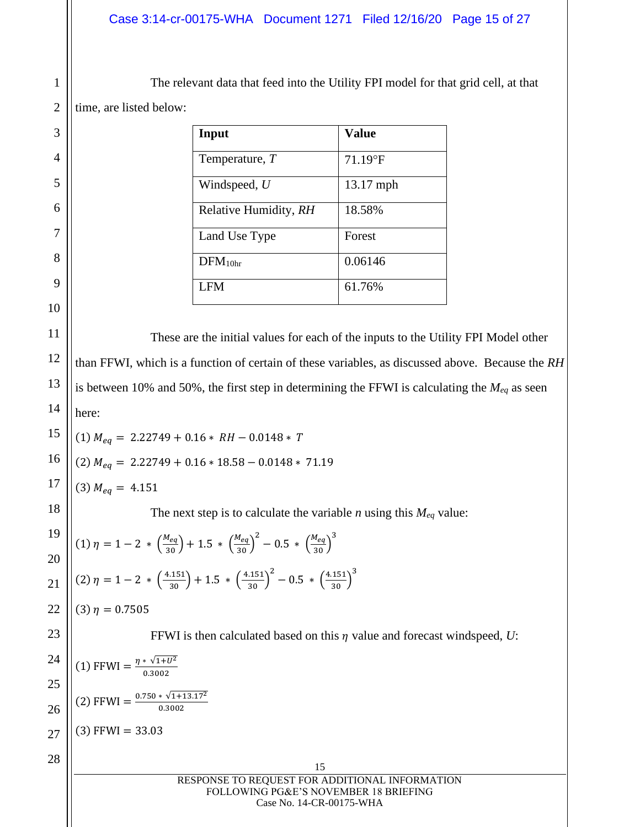2 The relevant data that feed into the Utility FPI model for that grid cell, at that time, are listed below:

| Input                 | <b>Value</b> |
|-----------------------|--------------|
| Temperature, T        | $71.19$ °F   |
| Windspeed, $U$        | $13.17$ mph  |
| Relative Humidity, RH | 18.58%       |
| Land Use Type         | Forest       |
| $DFM_{10hr}$          | 0.06146      |
| LFM                   | 61.76%       |

These are the initial values for each of the inputs to the Utility FPI Model other than FFWI, which is a function of certain of these variables, as discussed above. Because the *RH* is between 10% and 50%, the first step in determining the FFWI is calculating the *Meq* as seen here:

$$
(1) M_{eq} = 2.22749 + 0.16 * RH - 0.0148 * T
$$

$$
(2) M_{eq} = 2.22749 + 0.16 * 18.58 - 0.0148 * 71.19
$$

18  $(3)$   $M_{eq} = 4.151$ 

1

3

4

5

6

7

8

9

10

11

12

13

14

15

16

17

19

20

21

22

23

The next step is to calculate the variable *n* using this *Meq* value:

$$
\begin{pmatrix} (1) \eta = 1 - 2 * \left(\frac{M_{eq}}{30}\right) + 1.5 * \left(\frac{M_{eq}}{30}\right)^2 - 0.5 * \left(\frac{M_{eq}}{30}\right)^3 \\ (2) \eta = 1 - 2 * \left(\frac{4.151}{30}\right) + 1.5 * \left(\frac{4.151}{30}\right)^2 - 0.5 * \left(\frac{4.151}{30}\right)^3 \end{pmatrix}
$$

```
(3) \eta = 0.7505
```
FFWI is then calculated based on this  $\eta$  value and forecast windspeed,  $U$ :

$$
24\begin{bmatrix} 24 \\ 25 \\ 26 \\ 27 \end{bmatrix} (1) \text{ FFWI} = \frac{\eta * \sqrt{1+U^2}}{0.3002}
$$

$$
26\begin{bmatrix} 2 \end{bmatrix} \text{FFWI} = \frac{0.750 * \sqrt{1+13.17^2}}{0.3002}
$$

$$
27\begin{bmatrix} 3 \end{bmatrix} \text{FFWI} = 33.03
$$

| 15                                             |
|------------------------------------------------|
| RESPONSE TO REQUEST FOR ADDITIONAL INFORMATION |
| FOLLOWING PG&E'S NOVEMBER 18 BRIEFING          |
| Case No. 14-CR-00175-WHA                       |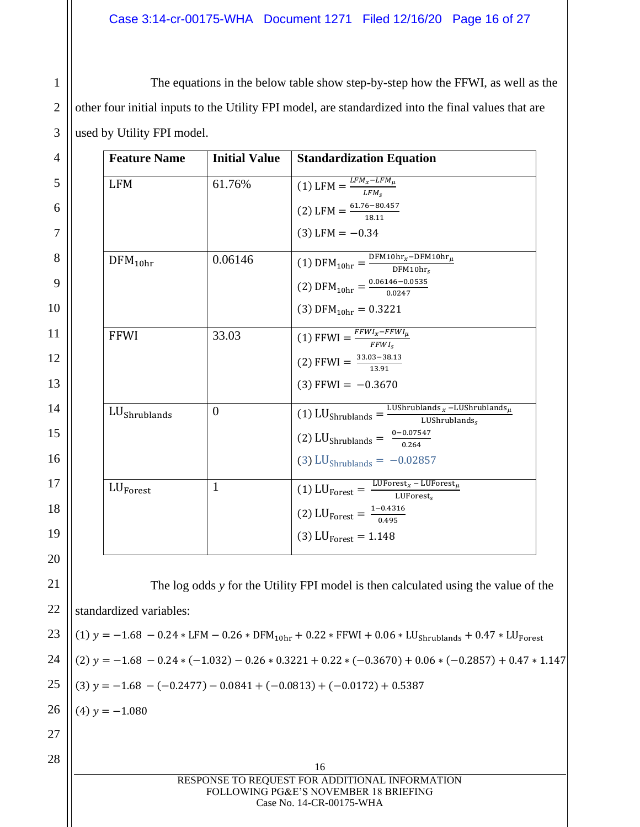# Case 3:14-cr-00175-WHA Document 1271 Filed 12/16/20 Page 16 of 27

The equations in the below table show step-by-step how the FFWI, as well as the other four initial inputs to the Utility FPI model, are standardized into the final values that are used by Utility FPI model.

| 4  | <b>Feature Name</b>     | <b>Initial Value</b> | <b>Standardization Equation</b>                                                                                |
|----|-------------------------|----------------------|----------------------------------------------------------------------------------------------------------------|
| 5  | <b>LFM</b>              | 61.76%               | (1) LFM = $\frac{LFM_x - LFM_\mu}{LFM_s}$                                                                      |
| 6  |                         |                      | (2) LFM = $\frac{61.76 - 80.457}{18.11}$                                                                       |
| 7  |                         |                      | $(3)$ LFM = $-0.34$                                                                                            |
| 8  | $DFM_{10hr}$            | 0.06146              | (1) $\text{DFM}_{10hr} = \frac{\text{DFM10hr}_x - \text{DFM10hr}_\mu}{\text{DFM10hr}_s}$                       |
| 9  |                         |                      | (2) DFM <sub>10hr</sub> = $\frac{0.06146 - 0.0535}{0.0247}$                                                    |
| 10 |                         |                      | (3) DFM <sub>10hr</sub> = 0.3221                                                                               |
| 11 | <b>FFWI</b>             | 33.03                | (1) FFWI = $\frac{FFWI_x-FFWI_\mu}{FFWI_s}$                                                                    |
| 12 |                         |                      | (2) FFWI = $\frac{33.03 - 38.13}{13.91}$                                                                       |
| 13 |                         |                      | $(3)$ FFWI = -0.3670                                                                                           |
| 14 | $LU$ Shrublands         | $\boldsymbol{0}$     | (1) LU <sub>Shrublands</sub> = $\frac{\text{LUShrublands}_x - \text{LUShrublands}_\mu}{\text{LUShrublands}_s}$ |
| 15 |                         |                      | (2) LU <sub>Shrublands</sub> = $\frac{0-0.07547}{0.264}$                                                       |
| 16 |                         |                      | (3) $LU_{Shrublands} = -0.02857$                                                                               |
| 17 | $LU_{\text{Forest}}$    | $\mathbf{1}$         | (1) LU <sub>Forest</sub> = $\frac{\text{LUForest}_x - \text{LUForest}_\mu}{\text{LUForest}_s}$                 |
| 18 |                         |                      | (2) LU <sub>Forest</sub> = $\frac{1-0.4316}{0.495}$                                                            |
| 19 |                         |                      | (3) $LU_{\text{Forest}} = 1.148$                                                                               |
| 20 |                         |                      |                                                                                                                |
| 21 |                         |                      | The log odds y for the Utility FPI model is then calculated using the value of the                             |
| 22 |                         |                      |                                                                                                                |
|    | standardized variables: |                      |                                                                                                                |
| 23 |                         |                      | (1) $y = -1.68 - 0.24 * LFM - 0.26 * DFM10hr + 0.22 * FFWI + 0.06 * LUShrublands + 0.47 * LUForest$            |
| 24 |                         |                      | $(2)$ y = -1.68 - 0.24 * (-1.032) - 0.26 * 0.3221 + 0.22 * (-0.3670) + 0.06 * (-0.2857) + 0.47 * 1.147         |
| 25 |                         |                      | $(3)$ y = -1.68 - (-0.2477) - 0.0841 + (-0.0813) + (-0.0172) + 0.5387                                          |
| 26 | $(4)$ y = -1.080        |                      |                                                                                                                |
| 27 |                         |                      |                                                                                                                |
| 28 |                         |                      | 16                                                                                                             |
|    |                         |                      | RESPONSE TO REQUEST FOR ADDITIONAL INFORMATION<br>FOLLOWING PG&E'S NOVEMBER 18 BRIEFING                        |

Case No. 14-CR-00175-WHA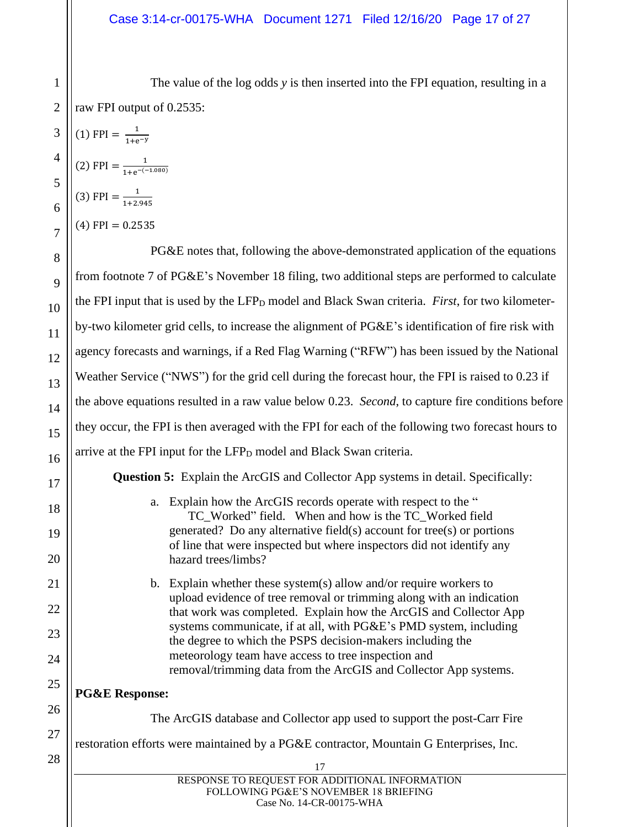The value of the log odds *y* is then inserted into the FPI equation, resulting in a raw FPI output of 0.2535:

 $(1)$  FPI =  $\frac{1}{118}$ 

(2) FPI =  $\frac{1}{1+e^{-t}}$ 

 $(3)$  FPI =  $\frac{1}{4+2}$ 

 $1+e^{-y}$ 

1+2.945

 $1+e^{-(-1.080)}$ 

| $(4)$ FPI = 0.2535                                                                                                                                                                                                                                                                                                                                                                                                                                                            |
|-------------------------------------------------------------------------------------------------------------------------------------------------------------------------------------------------------------------------------------------------------------------------------------------------------------------------------------------------------------------------------------------------------------------------------------------------------------------------------|
| PG&E notes that, following the above-demonstrated application of the equations                                                                                                                                                                                                                                                                                                                                                                                                |
| from footnote 7 of PG&E's November 18 filing, two additional steps are performed to calculate                                                                                                                                                                                                                                                                                                                                                                                 |
| the FPI input that is used by the LFP <sub>D</sub> model and Black Swan criteria. <i>First</i> , for two kilometer-                                                                                                                                                                                                                                                                                                                                                           |
| by-two kilometer grid cells, to increase the alignment of PG&E's identification of fire risk with                                                                                                                                                                                                                                                                                                                                                                             |
| agency forecasts and warnings, if a Red Flag Warning ("RFW") has been issued by the National                                                                                                                                                                                                                                                                                                                                                                                  |
| Weather Service ("NWS") for the grid cell during the forecast hour, the FPI is raised to 0.23 if                                                                                                                                                                                                                                                                                                                                                                              |
| the above equations resulted in a raw value below 0.23. Second, to capture fire conditions before                                                                                                                                                                                                                                                                                                                                                                             |
| they occur, the FPI is then averaged with the FPI for each of the following two forecast hours to                                                                                                                                                                                                                                                                                                                                                                             |
| arrive at the FPI input for the LFP <sub>D</sub> model and Black Swan criteria.                                                                                                                                                                                                                                                                                                                                                                                               |
| <b>Question 5:</b> Explain the ArcGIS and Collector App systems in detail. Specifically:                                                                                                                                                                                                                                                                                                                                                                                      |
| Explain how the ArcGIS records operate with respect to the "<br>a.<br>TC_Worked" field. When and how is the TC_Worked field<br>generated? Do any alternative field(s) account for tree(s) or portions<br>of line that were inspected but where inspectors did not identify any<br>hazard trees/limbs?                                                                                                                                                                         |
| b. Explain whether these system(s) allow and/or require workers to<br>upload evidence of tree removal or trimming along with an indication<br>that work was completed. Explain how the ArcGIS and Collector App<br>systems communicate, if at all, with PG&E's PMD system, including<br>the degree to which the PSPS decision-makers including the<br>meteorology team have access to tree inspection and<br>removal/trimming data from the ArcGIS and Collector App systems. |
| <b>PG&amp;E Response:</b>                                                                                                                                                                                                                                                                                                                                                                                                                                                     |
| The ArcGIS database and Collector app used to support the post-Carr Fire                                                                                                                                                                                                                                                                                                                                                                                                      |
| restoration efforts were maintained by a PG&E contractor, Mountain G Enterprises, Inc.                                                                                                                                                                                                                                                                                                                                                                                        |
| 17                                                                                                                                                                                                                                                                                                                                                                                                                                                                            |
| RESPONSE TO REQUEST FOR ADDITIONAL INFORMATION<br>FOLLOWING PG&E'S NOVEMBER 18 BRIEFING<br>Case No. 14-CR-00175-WHA                                                                                                                                                                                                                                                                                                                                                           |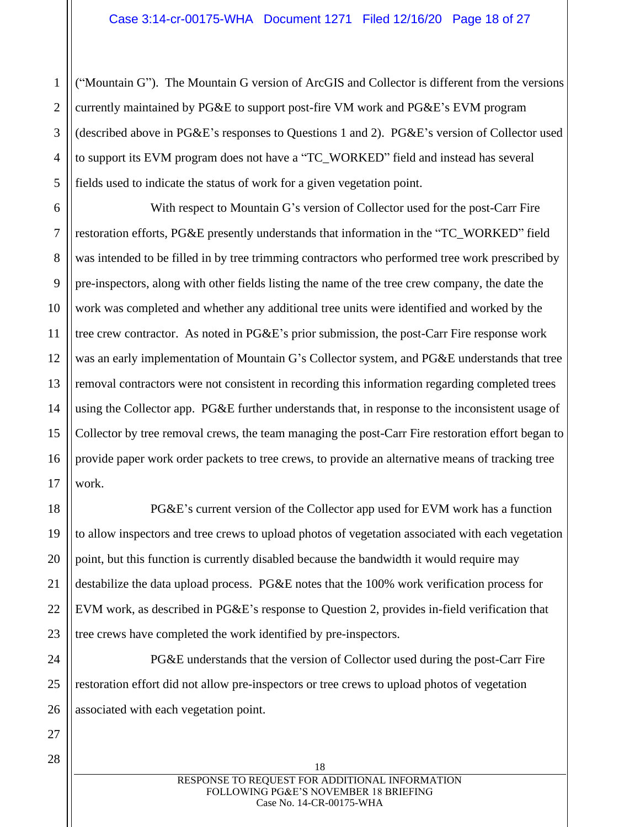1 ("Mountain G"). The Mountain G version of ArcGIS and Collector is different from the versions currently maintained by PG&E to support post-fire VM work and PG&E's EVM program (described above in PG&E's responses to Questions 1 and 2). PG&E's version of Collector used to support its EVM program does not have a "TC\_WORKED" field and instead has several fields used to indicate the status of work for a given vegetation point.

With respect to Mountain G's version of Collector used for the post-Carr Fire restoration efforts, PG&E presently understands that information in the "TC\_WORKED" field was intended to be filled in by tree trimming contractors who performed tree work prescribed by pre-inspectors, along with other fields listing the name of the tree crew company, the date the work was completed and whether any additional tree units were identified and worked by the tree crew contractor. As noted in PG&E's prior submission, the post-Carr Fire response work was an early implementation of Mountain G's Collector system, and PG&E understands that tree removal contractors were not consistent in recording this information regarding completed trees using the Collector app. PG&E further understands that, in response to the inconsistent usage of Collector by tree removal crews, the team managing the post-Carr Fire restoration effort began to provide paper work order packets to tree crews, to provide an alternative means of tracking tree work.

PG&E's current version of the Collector app used for EVM work has a function to allow inspectors and tree crews to upload photos of vegetation associated with each vegetation point, but this function is currently disabled because the bandwidth it would require may destabilize the data upload process. PG&E notes that the 100% work verification process for EVM work, as described in PG&E's response to Question 2, provides in-field verification that tree crews have completed the work identified by pre-inspectors.

PG&E understands that the version of Collector used during the post-Carr Fire restoration effort did not allow pre-inspectors or tree crews to upload photos of vegetation associated with each vegetation point.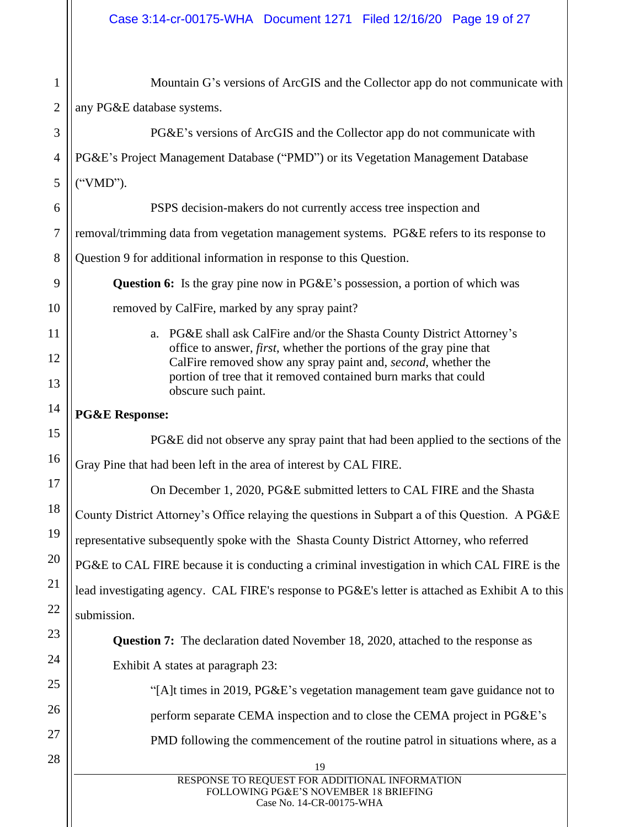19 RESPONSE TO REQUEST FOR ADDITIONAL INFORMATION FOLLOWING PG&E'S NOVEMBER 18 BRIEFING Case No. 14-CR-00175-WHA 1 2 3 4 5 6 7 8 9 10 11 12 13 14 15 16 17 18 19 20 21 22 23 24 25 26 27 28 Mountain G's versions of ArcGIS and the Collector app do not communicate with any PG&E database systems. PG&E's versions of ArcGIS and the Collector app do not communicate with PG&E's Project Management Database ("PMD") or its Vegetation Management Database ("VMD"). PSPS decision-makers do not currently access tree inspection and removal/trimming data from vegetation management systems. PG&E refers to its response to Question 9 for additional information in response to this Question. **Question 6:** Is the gray pine now in PG&E's possession, a portion of which was removed by CalFire, marked by any spray paint? a. PG&E shall ask CalFire and/or the Shasta County District Attorney's office to answer, *first*, whether the portions of the gray pine that CalFire removed show any spray paint and, *second*, whether the portion of tree that it removed contained burn marks that could obscure such paint. **PG&E Response:** PG&E did not observe any spray paint that had been applied to the sections of the Gray Pine that had been left in the area of interest by CAL FIRE. On December 1, 2020, PG&E submitted letters to CAL FIRE and the Shasta County District Attorney's Office relaying the questions in Subpart a of this Question. A PG&E representative subsequently spoke with the Shasta County District Attorney, who referred PG&E to CAL FIRE because it is conducting a criminal investigation in which CAL FIRE is the lead investigating agency. CAL FIRE's response to PG&E's letter is attached as Exhibit A to this submission. **Question 7:** The declaration dated November 18, 2020, attached to the response as Exhibit A states at paragraph 23: "[A]t times in 2019, PG&E's vegetation management team gave guidance not to perform separate CEMA inspection and to close the CEMA project in PG&E's PMD following the commencement of the routine patrol in situations where, as a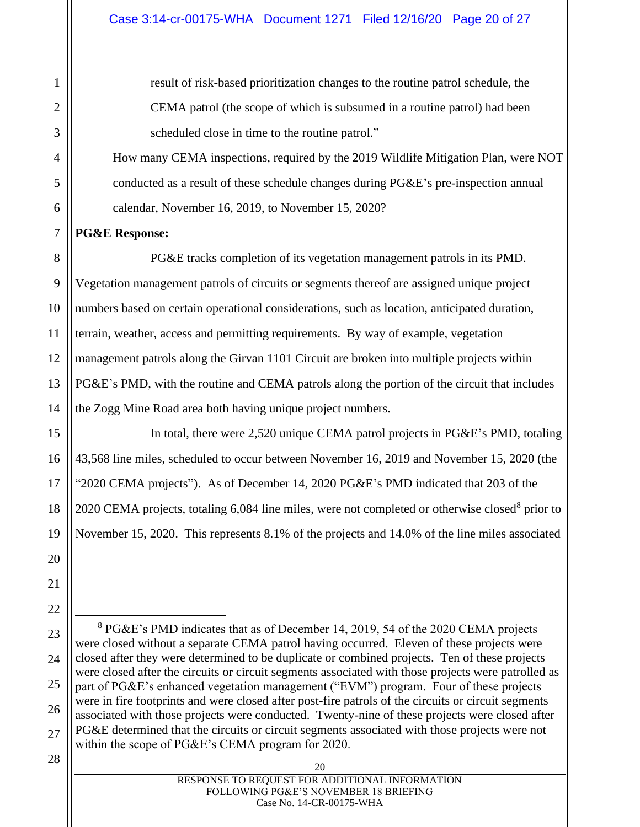result of risk-based prioritization changes to the routine patrol schedule, the CEMA patrol (the scope of which is subsumed in a routine patrol) had been scheduled close in time to the routine patrol."

How many CEMA inspections, required by the 2019 Wildlife Mitigation Plan, were NOT conducted as a result of these schedule changes during PG&E's pre-inspection annual calendar, November 16, 2019, to November 15, 2020?

## **PG&E Response:**

PG&E tracks completion of its vegetation management patrols in its PMD. Vegetation management patrols of circuits or segments thereof are assigned unique project numbers based on certain operational considerations, such as location, anticipated duration, terrain, weather, access and permitting requirements. By way of example, vegetation management patrols along the Girvan 1101 Circuit are broken into multiple projects within PG&E's PMD, with the routine and CEMA patrols along the portion of the circuit that includes the Zogg Mine Road area both having unique project numbers.

In total, there were 2,520 unique CEMA patrol projects in PG&E's PMD, totaling 43,568 line miles, scheduled to occur between November 16, 2019 and November 15, 2020 (the "2020 CEMA projects"). As of December 14, 2020 PG&E's PMD indicated that 203 of the 2020 CEMA projects, totaling 6,084 line miles, were not completed or otherwise closed<sup>8</sup> prior to November 15, 2020. This represents 8.1% of the projects and 14.0% of the line miles associated

<sup>8</sup> PG&E's PMD indicates that as of December 14, 2019, 54 of the 2020 CEMA projects were closed without a separate CEMA patrol having occurred. Eleven of these projects were closed after they were determined to be duplicate or combined projects. Ten of these projects were closed after the circuits or circuit segments associated with those projects were patrolled as part of PG&E's enhanced vegetation management ("EVM") program. Four of these projects were in fire footprints and were closed after post-fire patrols of the circuits or circuit segments associated with those projects were conducted. Twenty-nine of these projects were closed after PG&E determined that the circuits or circuit segments associated with those projects were not within the scope of PG&E's CEMA program for 2020.

| 20                                             |
|------------------------------------------------|
| RESPONSE TO REQUEST FOR ADDITIONAL INFORMATION |
| FOLLOWING PG&E'S NOVEMBER 18 BRIEFING          |
| Case No. 14-CR-00175-WHA                       |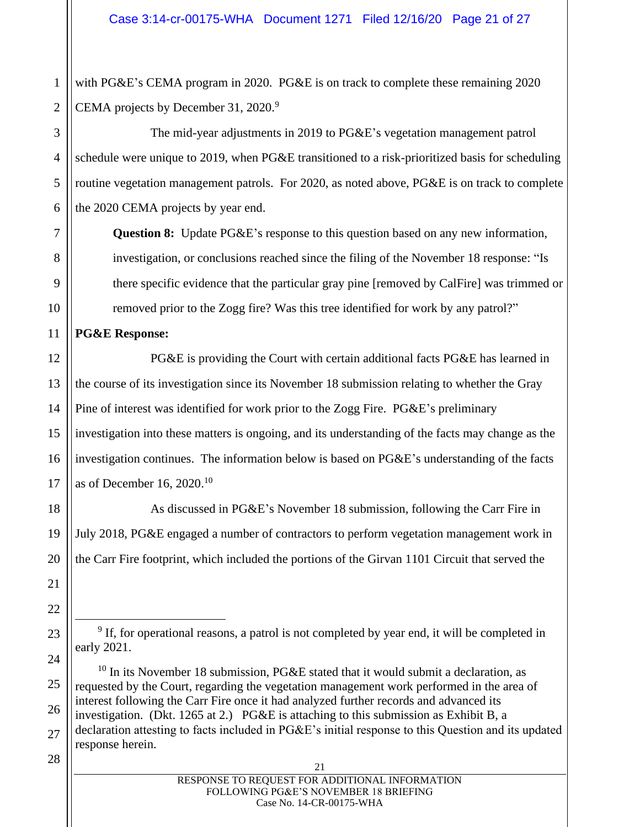2 with PG&E's CEMA program in 2020. PG&E is on track to complete these remaining 2020 CEMA projects by December 31, 2020.<sup>9</sup>

The mid-year adjustments in 2019 to PG&E's vegetation management patrol schedule were unique to 2019, when PG&E transitioned to a risk-prioritized basis for scheduling routine vegetation management patrols. For 2020, as noted above, PG&E is on track to complete the 2020 CEMA projects by year end.

**Question 8:** Update PG&E's response to this question based on any new information, investigation, or conclusions reached since the filing of the November 18 response: "Is there specific evidence that the particular gray pine [removed by CalFire] was trimmed or removed prior to the Zogg fire? Was this tree identified for work by any patrol?"

## **PG&E Response:**

1

3

4

5

6

7

8

9

10

11

12

13

14

15

16

17

18

19

20

21

22

23

24

25

26

27

PG&E is providing the Court with certain additional facts PG&E has learned in the course of its investigation since its November 18 submission relating to whether the Gray Pine of interest was identified for work prior to the Zogg Fire. PG&E's preliminary investigation into these matters is ongoing, and its understanding of the facts may change as the investigation continues. The information below is based on PG&E's understanding of the facts as of December 16, 2020.<sup>10</sup>

As discussed in PG&E's November 18 submission, following the Carr Fire in July 2018, PG&E engaged a number of contractors to perform vegetation management work in the Carr Fire footprint, which included the portions of the Girvan 1101 Circuit that served the

| 21                                             |
|------------------------------------------------|
| RESPONSE TO REQUEST FOR ADDITIONAL INFORMATION |
| FOLLOWING PG&E'S NOVEMBER 18 BRIEFING          |
| Case No. 14-CR-00175-WHA                       |

 $9$  If, for operational reasons, a patrol is not completed by year end, it will be completed in early 2021.

 $10$  In its November 18 submission, PG&E stated that it would submit a declaration, as requested by the Court, regarding the vegetation management work performed in the area of interest following the Carr Fire once it had analyzed further records and advanced its investigation. (Dkt. 1265 at 2.) PG&E is attaching to this submission as Exhibit B, a declaration attesting to facts included in PG&E's initial response to this Question and its updated response herein.

<sup>28</sup>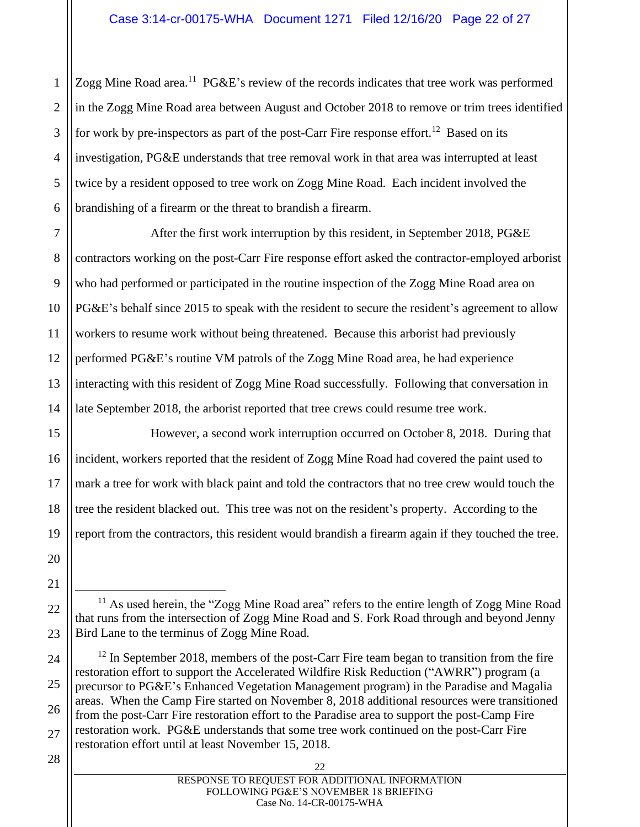Zogg Mine Road area.<sup>11</sup> PG&E's review of the records indicates that tree work was performed in the Zogg Mine Road area between August and October 2018 to remove or trim trees identified for work by pre-inspectors as part of the post-Carr Fire response effort.<sup>12</sup> Based on its investigation, PG&E understands that tree removal work in that area was interrupted at least twice by a resident opposed to tree work on Zogg Mine Road. Each incident involved the brandishing of a firearm or the threat to brandish a firearm.

After the first work interruption by this resident, in September 2018, PG&E contractors working on the post-Carr Fire response effort asked the contractor-employed arborist who had performed or participated in the routine inspection of the Zogg Mine Road area on PG&E's behalf since 2015 to speak with the resident to secure the resident's agreement to allow workers to resume work without being threatened. Because this arborist had previously performed PG&E's routine VM patrols of the Zogg Mine Road area, he had experience interacting with this resident of Zogg Mine Road successfully. Following that conversation in late September 2018, the arborist reported that tree crews could resume tree work.

However, a second work interruption occurred on October 8, 2018. During that incident, workers reported that the resident of Zogg Mine Road had covered the paint used to mark a tree for work with black paint and told the contractors that no tree crew would touch the tree the resident blacked out. This tree was not on the resident's property. According to the report from the contractors, this resident would brandish a firearm again if they touched the tree.

 $11$  As used herein, the "Zogg Mine Road area" refers to the entire length of Zogg Mine Road that runs from the intersection of Zogg Mine Road and S. Fork Road through and beyond Jenny Bird Lane to the terminus of Zogg Mine Road.

 $12$  In September 2018, members of the post-Carr Fire team began to transition from the fire restoration effort to support the Accelerated Wildfire Risk Reduction ("AWRR") program (a precursor to PG&E's Enhanced Vegetation Management program) in the Paradise and Magalia areas. When the Camp Fire started on November 8, 2018 additional resources were transitioned from the post-Carr Fire restoration effort to the Paradise area to support the post-Camp Fire restoration work. PG&E understands that some tree work continued on the post-Carr Fire restoration effort until at least November 15, 2018.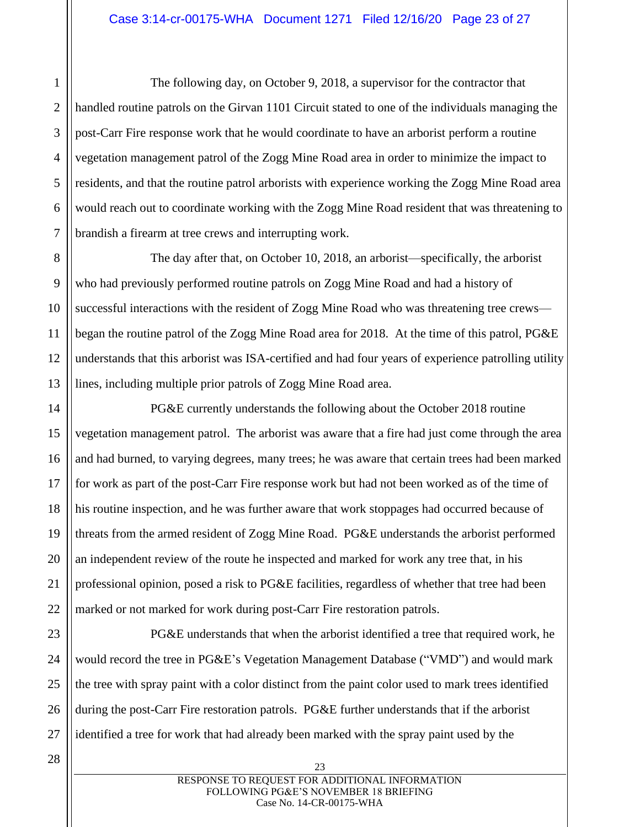The following day, on October 9, 2018, a supervisor for the contractor that handled routine patrols on the Girvan 1101 Circuit stated to one of the individuals managing the post-Carr Fire response work that he would coordinate to have an arborist perform a routine vegetation management patrol of the Zogg Mine Road area in order to minimize the impact to residents, and that the routine patrol arborists with experience working the Zogg Mine Road area would reach out to coordinate working with the Zogg Mine Road resident that was threatening to brandish a firearm at tree crews and interrupting work.

8 10 12 13 The day after that, on October 10, 2018, an arborist—specifically, the arborist who had previously performed routine patrols on Zogg Mine Road and had a history of successful interactions with the resident of Zogg Mine Road who was threatening tree crews began the routine patrol of the Zogg Mine Road area for 2018. At the time of this patrol, PG&E understands that this arborist was ISA-certified and had four years of experience patrolling utility lines, including multiple prior patrols of Zogg Mine Road area.

PG&E currently understands the following about the October 2018 routine vegetation management patrol. The arborist was aware that a fire had just come through the area and had burned, to varying degrees, many trees; he was aware that certain trees had been marked for work as part of the post-Carr Fire response work but had not been worked as of the time of his routine inspection, and he was further aware that work stoppages had occurred because of threats from the armed resident of Zogg Mine Road. PG&E understands the arborist performed an independent review of the route he inspected and marked for work any tree that, in his professional opinion, posed a risk to PG&E facilities, regardless of whether that tree had been marked or not marked for work during post-Carr Fire restoration patrols.

PG&E understands that when the arborist identified a tree that required work, he would record the tree in PG&E's Vegetation Management Database ("VMD") and would mark the tree with spray paint with a color distinct from the paint color used to mark trees identified during the post-Carr Fire restoration patrols. PG&E further understands that if the arborist identified a tree for work that had already been marked with the spray paint used by the

1

2

3

4

5

6

7

9

11

14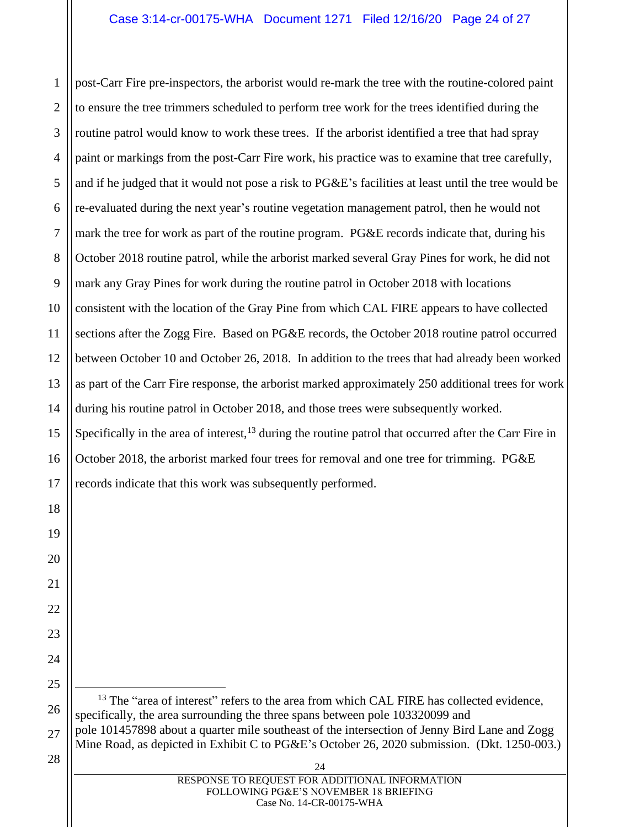## Case 3:14-cr-00175-WHA Document 1271 Filed 12/16/20 Page 24 of 27

2 post-Carr Fire pre-inspectors, the arborist would re-mark the tree with the routine-colored paint to ensure the tree trimmers scheduled to perform tree work for the trees identified during the routine patrol would know to work these trees. If the arborist identified a tree that had spray paint or markings from the post-Carr Fire work, his practice was to examine that tree carefully, and if he judged that it would not pose a risk to PG&E's facilities at least until the tree would be re-evaluated during the next year's routine vegetation management patrol, then he would not mark the tree for work as part of the routine program. PG&E records indicate that, during his October 2018 routine patrol, while the arborist marked several Gray Pines for work, he did not mark any Gray Pines for work during the routine patrol in October 2018 with locations consistent with the location of the Gray Pine from which CAL FIRE appears to have collected sections after the Zogg Fire. Based on PG&E records, the October 2018 routine patrol occurred between October 10 and October 26, 2018. In addition to the trees that had already been worked as part of the Carr Fire response, the arborist marked approximately 250 additional trees for work during his routine patrol in October 2018, and those trees were subsequently worked. Specifically in the area of interest,  $^{13}$  during the routine patrol that occurred after the Carr Fire in October 2018, the arborist marked four trees for removal and one tree for trimming. PG&E records indicate that this work was subsequently performed.

 $24$  $13$  The "area of interest" refers to the area from which CAL FIRE has collected evidence, specifically, the area surrounding the three spans between pole 103320099 and pole 101457898 about a quarter mile southeast of the intersection of Jenny Bird Lane and Zogg Mine Road, as depicted in Exhibit C to PG&E's October 26, 2020 submission. (Dkt. 1250-003.)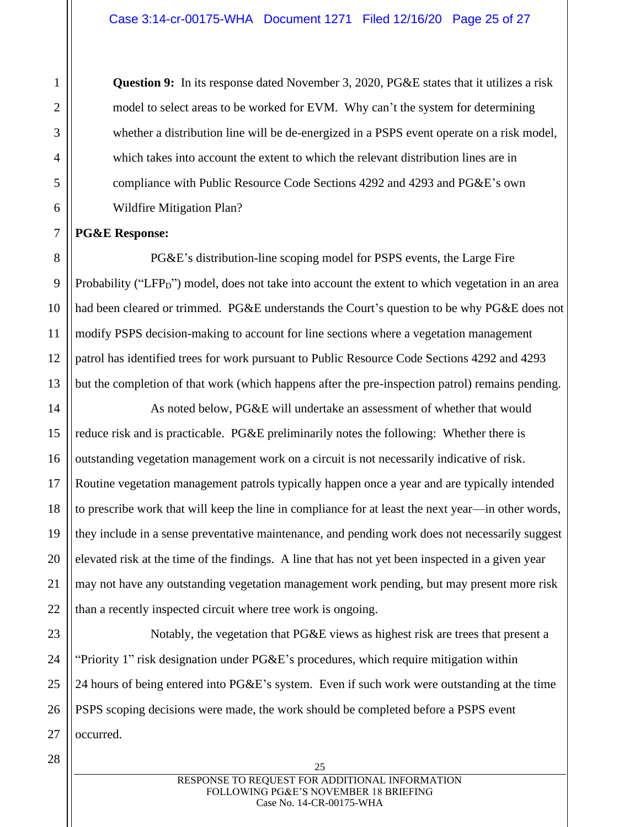**Question 9:** In its response dated November 3, 2020, PG&E states that it utilizes a risk model to select areas to be worked for EVM. Why can't the system for determining whether a distribution line will be de-energized in a PSPS event operate on a risk model, which takes into account the extent to which the relevant distribution lines are in compliance with Public Resource Code Sections 4292 and 4293 and PG&E's own Wildfire Mitigation Plan?

## **PG&E Response:**

PG&E's distribution-line scoping model for PSPS events, the Large Fire Probability ("LFP<sub>D</sub>") model, does not take into account the extent to which vegetation in an area had been cleared or trimmed. PG&E understands the Court's question to be why PG&E does not modify PSPS decision-making to account for line sections where a vegetation management patrol has identified trees for work pursuant to Public Resource Code Sections 4292 and 4293 but the completion of that work (which happens after the pre-inspection patrol) remains pending.

As noted below, PG&E will undertake an assessment of whether that would reduce risk and is practicable. PG&E preliminarily notes the following: Whether there is outstanding vegetation management work on a circuit is not necessarily indicative of risk. Routine vegetation management patrols typically happen once a year and are typically intended to prescribe work that will keep the line in compliance for at least the next year—in other words, they include in a sense preventative maintenance, and pending work does not necessarily suggest elevated risk at the time of the findings. A line that has not yet been inspected in a given year may not have any outstanding vegetation management work pending, but may present more risk than a recently inspected circuit where tree work is ongoing.

Notably, the vegetation that PG&E views as highest risk are trees that present a "Priority 1" risk designation under PG&E's procedures, which require mitigation within 24 hours of being entered into PG&E's system. Even if such work were outstanding at the time PSPS scoping decisions were made, the work should be completed before a PSPS event occurred.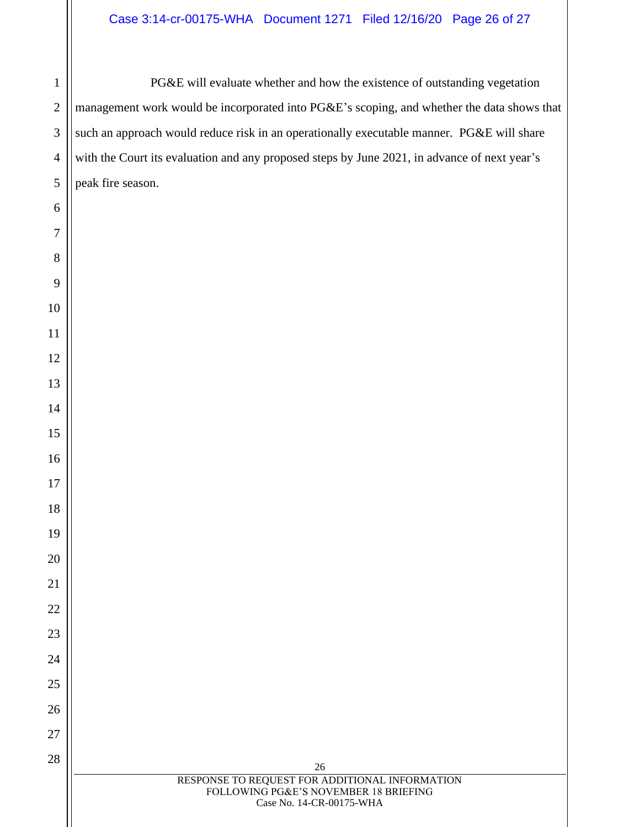# Case 3:14-cr-00175-WHA Document 1271 Filed 12/16/20 Page 26 of 27

PG&E will evaluate whether and how the existence of outstanding vegetation management work would be incorporated into PG&E's scoping, and whether the data shows that such an approach would reduce risk in an operationally executable manner. PG&E will share with the Court its evaluation and any proposed steps by June 2021, in advance of next year's peak fire season.

| 26                                             |
|------------------------------------------------|
| RESPONSE TO REQUEST FOR ADDITIONAL INFORMATION |
| FOLLOWING PG&E'S NOVEMBER 18 BRIEFING          |
| Case No. 14-CR-00175-WHA                       |
|                                                |